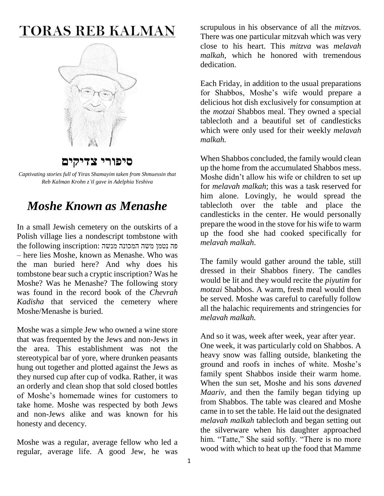## **TORAS REB KALMAN**



**סיפורי צדיקים**

*Captivating stories full of Yiras Shamayim taken from Shmuessin that Reb Kalman Krohn z'tl gave in Adelphia Yeshiva*

## *Moshe Known as Menashe*

In a small Jewish cemetery on the outskirts of a Polish village lies a nondescript tombstone with the following inscription: פה נטמן משה המכונה מנשה – here lies Moshe, known as Menashe. Who was the man buried here? And why does his tombstone bear such a cryptic inscription? Was he Moshe? Was he Menashe? The following story was found in the record book of the *Chevrah Kadisha* that serviced the cemetery where Moshe/Menashe is buried.

Moshe was a simple Jew who owned a wine store that was frequented by the Jews and non-Jews in the area. This establishment was not the stereotypical bar of yore, where drunken peasants hung out together and plotted against the Jews as they nursed cup after cup of vodka. Rather, it was an orderly and clean shop that sold closed bottles of Moshe's homemade wines for customers to take home. Moshe was respected by both Jews and non-Jews alike and was known for his honesty and decency.

Moshe was a regular, average fellow who led a regular, average life. A good Jew, he was

scrupulous in his observance of all the *mitzvos.* There was one particular mitzvah which was very close to his heart. This *mitzva* was *melavah malkah*, which he honored with tremendous dedication.

Each Friday, in addition to the usual preparations for Shabbos, Moshe's wife would prepare a delicious hot dish exclusively for consumption at the *motzai* Shabbos meal. They owned a special tablecloth and a beautiful set of candlesticks which were only used for their weekly *melavah malkah.*

When Shabbos concluded, the family would clean up the home from the accumulated Shabbos mess. Moshe didn't allow his wife or children to set up for *melavah malkah*; this was a task reserved for him alone. Lovingly, he would spread the tablecloth over the table and place the candlesticks in the center. He would personally prepare the wood in the stove for his wife to warm up the food she had cooked specifically for *melavah malkah*.

The family would gather around the table, still dressed in their Shabbos finery. The candles would be lit and they would recite the *piyutim* for *motzai* Shabbos. A warm, fresh meal would then be served. Moshe was careful to carefully follow all the halachic requirements and stringencies for *melavah malkah.*

And so it was, week after week, year after year.

One week, it was particularly cold on Shabbos. A heavy snow was falling outside, blanketing the ground and roofs in inches of white. Moshe's family spent Shabbos inside their warm home. When the sun set, Moshe and his sons *davened Maariv*, and then the family began tidying up from Shabbos. The table was cleared and Moshe came in to set the table. He laid out the designated *melavah malkah* tablecloth and began setting out the silverware when his daughter approached him. "Tatte," She said softly. "There is no more wood with which to heat up the food that Mamme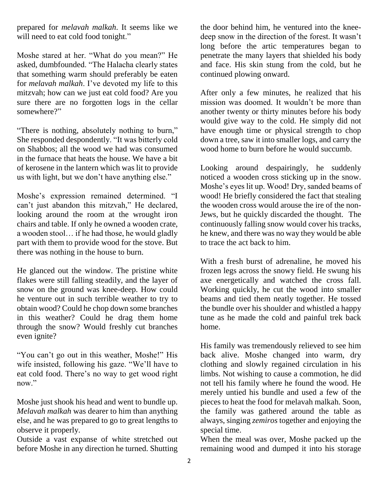prepared for *melavah malkah*. It seems like we will need to eat cold food tonight."

Moshe stared at her. "What do you mean?" He asked, dumbfounded. "The Halacha clearly states that something warm should preferably be eaten for *melavah malkah*. I've devoted my life to this mitzvah; how can we just eat cold food? Are you sure there are no forgotten logs in the cellar somewhere?"

"There is nothing, absolutely nothing to burn," She responded despondently. "It was bitterly cold on Shabbos; all the wood we had was consumed in the furnace that heats the house. We have a bit of kerosene in the lantern which was lit to provide us with light, but we don't have anything else."

Moshe's expression remained determined. "I can't just abandon this mitzvah," He declared, looking around the room at the wrought iron chairs and table. If only he owned a wooden crate, a wooden stool… if he had those, he would gladly part with them to provide wood for the stove. But there was nothing in the house to burn.

He glanced out the window. The pristine white flakes were still falling steadily, and the layer of snow on the ground was knee-deep. How could he venture out in such terrible weather to try to obtain wood? Could he chop down some branches in this weather? Could he drag them home through the snow? Would freshly cut branches even ignite?

"You can't go out in this weather, Moshe!" His wife insisted, following his gaze. "We'll have to eat cold food. There's no way to get wood right now."

Moshe just shook his head and went to bundle up. *Melavah malkah* was dearer to him than anything else, and he was prepared to go to great lengths to observe it properly.

Outside a vast expanse of white stretched out before Moshe in any direction he turned. Shutting the door behind him, he ventured into the kneedeep snow in the direction of the forest. It wasn't long before the artic temperatures began to penetrate the many layers that shielded his body and face. His skin stung from the cold, but he continued plowing onward.

After only a few minutes, he realized that his mission was doomed. It wouldn't be more than another twenty or thirty minutes before his body would give way to the cold. He simply did not have enough time or physical strength to chop down a tree, saw it into smaller logs, and carry the wood home to burn before he would succumb.

Looking around despairingly, he suddenly noticed a wooden cross sticking up in the snow. Moshe's eyes lit up. Wood! Dry, sanded beams of wood! He briefly considered the fact that stealing the wooden cross would arouse the ire of the non-Jews, but he quickly discarded the thought. The continuously falling snow would cover his tracks, he knew, and there was no way they would be able to trace the act back to him.

With a fresh burst of adrenaline, he moved his frozen legs across the snowy field. He swung his axe energetically and watched the cross fall. Working quickly, he cut the wood into smaller beams and tied them neatly together. He tossed the bundle over his shoulder and whistled a happy tune as he made the cold and painful trek back home.

His family was tremendously relieved to see him back alive. Moshe changed into warm, dry clothing and slowly regained circulation in his limbs. Not wishing to cause a commotion, he did not tell his family where he found the wood. He merely untied his bundle and used a few of the pieces to heat the food for melavah malkah. Soon, the family was gathered around the table as always, singing *zemiros* together and enjoying the special time.

When the meal was over, Moshe packed up the remaining wood and dumped it into his storage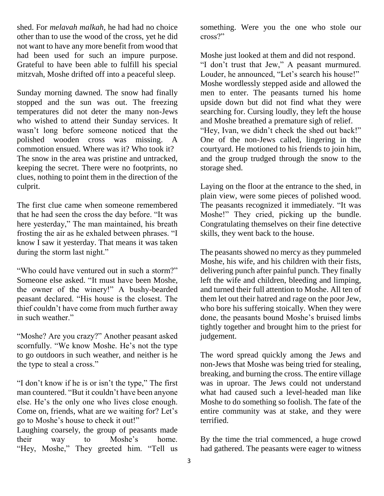shed. For *melavah malkah,* he had had no choice other than to use the wood of the cross, yet he did not want to have any more benefit from wood that had been used for such an impure purpose. Grateful to have been able to fulfill his special mitzvah, Moshe drifted off into a peaceful sleep.

Sunday morning dawned. The snow had finally stopped and the sun was out. The freezing temperatures did not deter the many non-Jews who wished to attend their Sunday services. It wasn't long before someone noticed that the polished wooden cross was missing. A commotion ensued. Where was it? Who took it? The snow in the area was pristine and untracked, keeping the secret. There were no footprints, no clues, nothing to point them in the direction of the culprit.

The first clue came when someone remembered that he had seen the cross the day before. "It was here yesterday," The man maintained, his breath frosting the air as he exhaled between phrases. "I know I saw it yesterday. That means it was taken during the storm last night."

"Who could have ventured out in such a storm?" Someone else asked. "It must have been Moshe, the owner of the winery!" A bushy-bearded peasant declared. "His house is the closest. The thief couldn't have come from much further away in such weather."

"Moshe? Are you crazy?" Another peasant asked scornfully. "We know Moshe. He's not the type to go outdoors in such weather, and neither is he the type to steal a cross."

"I don't know if he is or isn't the type," The first man countered. "But it couldn't have been anyone else. He's the only one who lives close enough. Come on, friends, what are we waiting for? Let's go to Moshe's house to check it out!"

Laughing coarsely, the group of peasants made their way to Moshe's home. "Hey, Moshe," They greeted him. "Tell us

something. Were you the one who stole our cross?"

Moshe just looked at them and did not respond. "I don't trust that Jew," A peasant murmured. Louder, he announced, "Let's search his house!" Moshe wordlessly stepped aside and allowed the men to enter. The peasants turned his home upside down but did not find what they were searching for. Cursing loudly, they left the house and Moshe breathed a premature sigh of relief. "Hey, Ivan, we didn't check the shed out back!" One of the non-Jews called, lingering in the courtyard. He motioned to his friends to join him, and the group trudged through the snow to the storage shed.

Laying on the floor at the entrance to the shed, in plain view, were some pieces of polished wood. The peasants recognized it immediately. "It was Moshe!" They cried, picking up the bundle. Congratulating themselves on their fine detective skills, they went back to the house.

The peasants showed no mercy as they pummeled Moshe, his wife, and his children with their fists, delivering punch after painful punch. They finally left the wife and children, bleeding and limping, and turned their full attention to Moshe. All ten of them let out their hatred and rage on the poor Jew, who bore his suffering stoically. When they were done, the peasants bound Moshe's bruised limbs tightly together and brought him to the priest for judgement.

The word spread quickly among the Jews and non-Jews that Moshe was being tried for stealing, breaking, and burning the cross. The entire village was in uproar. The Jews could not understand what had caused such a level-headed man like Moshe to do something so foolish. The fate of the entire community was at stake, and they were terrified.

By the time the trial commenced, a huge crowd had gathered. The peasants were eager to witness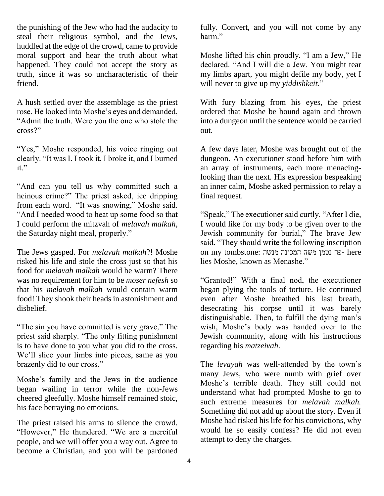the punishing of the Jew who had the audacity to steal their religious symbol, and the Jews, huddled at the edge of the crowd, came to provide moral support and hear the truth about what happened. They could not accept the story as truth, since it was so uncharacteristic of their friend.

A hush settled over the assemblage as the priest rose. He looked into Moshe's eyes and demanded, "Admit the truth. Were you the one who stole the cross?"

"Yes," Moshe responded, his voice ringing out clearly. "It was I. I took it, I broke it, and I burned it."

"And can you tell us why committed such a heinous crime?" The priest asked, ice dripping from each word. "It was snowing," Moshe said. "And I needed wood to heat up some food so that I could perform the mitzvah of *melavah malkah*, the Saturday night meal, properly."

The Jews gasped. For *melavah malkah*?! Moshe risked his life and stole the cross just so that his food for *melavah malkah* would be warm? There was no requirement for him to be *moser nefesh* so that his *melavah malkah* would contain warm food! They shook their heads in astonishment and disbelief.

"The sin you have committed is very grave," The priest said sharply. "The only fitting punishment is to have done to you what you did to the cross. We'll slice your limbs into pieces, same as you brazenly did to our cross."

Moshe's family and the Jews in the audience began wailing in terror while the non-Jews cheered gleefully. Moshe himself remained stoic, his face betraying no emotions.

The priest raised his arms to silence the crowd. "However," He thundered. "We are a merciful people, and we will offer you a way out. Agree to become a Christian, and you will be pardoned fully. Convert, and you will not come by any harm."

Moshe lifted his chin proudly. "I am a Jew," He declared. "And I will die a Jew. You might tear my limbs apart, you might defile my body, yet I will never to give up my *yiddishkeit*."

With fury blazing from his eyes, the priest ordered that Moshe be bound again and thrown into a dungeon until the sentence would be carried out.

A few days later, Moshe was brought out of the dungeon. An executioner stood before him with an array of instruments, each more menacinglooking than the next. His expression bespeaking an inner calm, Moshe asked permission to relay a final request.

"Speak," The executioner said curtly. "After I die, I would like for my body to be given over to the Jewish community for burial," The brave Jew said. "They should write the following inscription on my tombstone: פה נטמן משה המכונה מנשה - here lies Moshe, known as Menashe."

"Granted!" With a final nod, the executioner began plying the tools of torture. He continued even after Moshe breathed his last breath, desecrating his corpse until it was barely distinguishable. Then, to fulfill the dying man's wish, Moshe's body was handed over to the Jewish community, along with his instructions regarding his *matzeivah*.

The *levayah* was well-attended by the town's many Jews, who were numb with grief over Moshe's terrible death. They still could not understand what had prompted Moshe to go to such extreme measures for *melavah malkah.* Something did not add up about the story. Even if Moshe had risked his life for his convictions, why would he so easily confess? He did not even attempt to deny the charges.